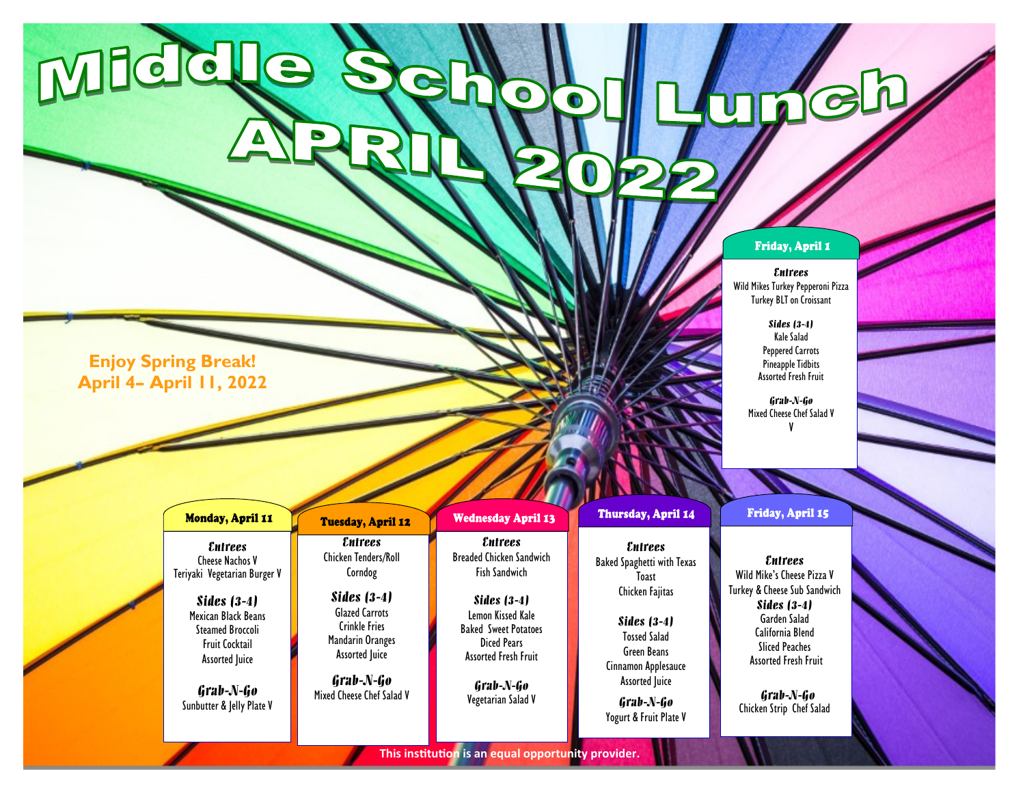## Friday, April 1

Keh

## *Entrees*

Wild Mikes Turkey Pepperoni Pizza Turkey BLT on Croissant

> *Sides (3-4)* Kale Salad Peppered Carrots Pineapple Tidbits Assorted Fresh Fruit

*Grab-N-Go* Mixed Cheese Chef Salad V V

**Enjoy Spring Break! April 4– April 11, 2022**

Middle

|                                                                                                                                                                                                                                         |                                                                                                                                                                                                                   |                                                                                                                                                                                                                                        | <b><i>MARKA</i></b>                                                                                                                                                                                                           |                                                                                                                                                                                                                                           |  |
|-----------------------------------------------------------------------------------------------------------------------------------------------------------------------------------------------------------------------------------------|-------------------------------------------------------------------------------------------------------------------------------------------------------------------------------------------------------------------|----------------------------------------------------------------------------------------------------------------------------------------------------------------------------------------------------------------------------------------|-------------------------------------------------------------------------------------------------------------------------------------------------------------------------------------------------------------------------------|-------------------------------------------------------------------------------------------------------------------------------------------------------------------------------------------------------------------------------------------|--|
| <b>Monday, April 11</b>                                                                                                                                                                                                                 | <b>Tuesday, April 12</b>                                                                                                                                                                                          | <b>Wednesday April 13</b>                                                                                                                                                                                                              | Thursday, April 14                                                                                                                                                                                                            | Friday, April 15                                                                                                                                                                                                                          |  |
| <i>Entrees</i><br><b>Cheese Nachos V</b><br>Teriyaki Vegetarian Burger V<br>Sides $(3-4)$<br>Mexican Black Beans<br><b>Steamed Broccoli</b><br><b>Fruit Cocktail</b><br><b>Assorted Juice</b><br>Grab-N-Go<br>Sunbutter & Jelly Plate V | <i>Entrees</i><br><b>Chicken Tenders/Roll</b><br>Corndog<br>Sides $(3-4)$<br><b>Glazed Carrots</b><br><b>Crinkle Fries</b><br>Mandarin Oranges<br><b>Assorted Juice</b><br>Grab-N-Go<br>Mixed Cheese Chef Salad V | <i><b>Entrees</b></i><br><b>Breaded Chicken Sandwich</b><br><b>Fish Sandwich</b><br>Sides $(3-4)$<br>Lemon Kissed Kale<br><b>Baked Sweet Potatoes</b><br>Diced Pears<br><b>Assorted Fresh Fruit</b><br>Grab-N-Go<br>Vegetarian Salad V | <i><b>Entrees</b></i><br><b>Baked Spaghetti with Texas</b><br>Toast<br>Chicken Fajitas<br>Sides $(3-4)$<br><b>Tossed Salad</b><br>Green Beans<br>Cinnamon Applesauce<br>Assorted Juice<br>Grab-N-Go<br>Yogurt & Fruit Plate V | <i><b>Entrees</b></i><br>Wild Mike's Cheese Pizza V<br>Turkey & Cheese Sub Sandwich<br>Sides $(3-4)$<br>Garden Salad<br>California Blend<br><b>Sliced Peaches</b><br><b>Assorted Fresh Fruit</b><br>Grab-N-Go<br>Chicken Strip Chef Salad |  |

 $\Omega$